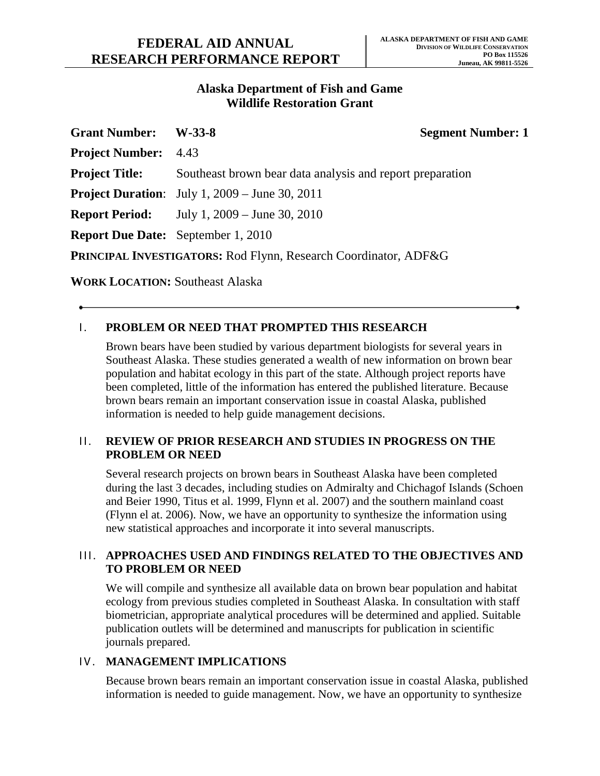## **Alaska Department of Fish and Game Wildlife Restoration Grant**

| <b>Grant Number:</b>                                            | $W-33-8$                                                  | <b>Segment Number: 1</b> |
|-----------------------------------------------------------------|-----------------------------------------------------------|--------------------------|
| <b>Project Number:</b> 4.43                                     |                                                           |                          |
| <b>Project Title:</b>                                           | Southeast brown bear data analysis and report preparation |                          |
|                                                                 | <b>Project Duration:</b> July 1, 2009 – June 30, 2011     |                          |
|                                                                 | <b>Report Period:</b> July 1, 2009 – June 30, 2010        |                          |
|                                                                 | <b>Report Due Date:</b> September 1, 2010                 |                          |
| PRINCIPAL INVESTIGATORS: Rod Flynn, Research Coordinator, ADF&G |                                                           |                          |

**WORK LOCATION:** Southeast Alaska

# **I. PROBLEM OR NEED THAT PROMPTED THIS RESEARCH**

Brown bears have been studied by various department biologists for several years in Southeast Alaska. These studies generated a wealth of new information on brown bear population and habitat ecology in this part of the state. Although project reports have been completed, little of the information has entered the published literature. Because brown bears remain an important conservation issue in coastal Alaska, published information is needed to help guide management decisions.

## II. **REVIEW OF PRIOR RESEARCH AND STUDIES IN PROGRESS ON THE PROBLEM OR NEED**

Several research projects on brown bears in Southeast Alaska have been completed during the last 3 decades, including studies on Admiralty and Chichagof Islands (Schoen and Beier 1990, Titus et al. 1999, Flynn et al. 2007) and the southern mainland coast (Flynn el at. 2006). Now, we have an opportunity to synthesize the information using new statistical approaches and incorporate it into several manuscripts.

# III. **APPROACHES USED AND FINDINGS RELATED TO THE OBJECTIVES AND TO PROBLEM OR NEED**

We will compile and synthesize all available data on brown bear population and habitat ecology from previous studies completed in Southeast Alaska. In consultation with staff biometrician, appropriate analytical procedures will be determined and applied. Suitable publication outlets will be determined and manuscripts for publication in scientific journals prepared.

## IV. **MANAGEMENT IMPLICATIONS**

Because brown bears remain an important conservation issue in coastal Alaska, published information is needed to guide management. Now, we have an opportunity to synthesize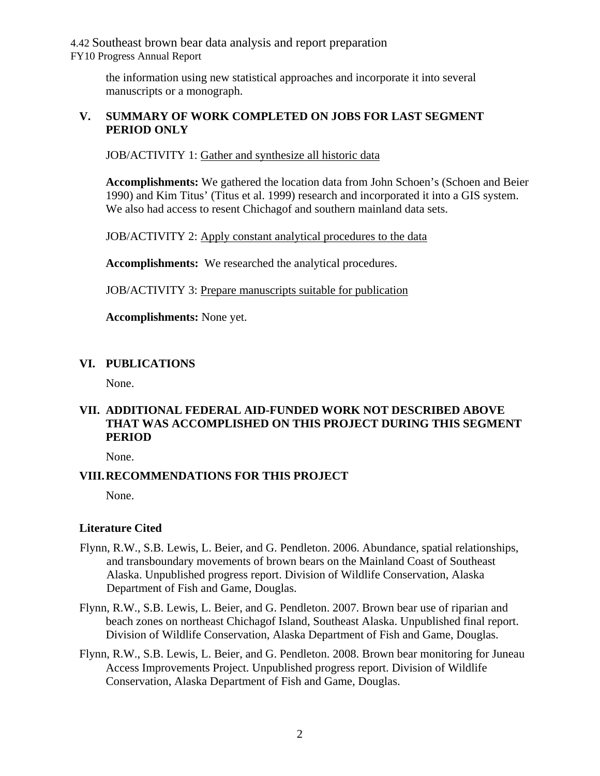4.42 Southeast brown bear data analysis and report preparation FY10 Progress Annual Report

> the information using new statistical approaches and incorporate it into several manuscripts or a monograph.

## **V. SUMMARY OF WORK COMPLETED ON JOBS FOR LAST SEGMENT PERIOD ONLY**

JOB/ACTIVITY 1: Gather and synthesize all historic data

**Accomplishments:** We gathered the location data from John Schoen's (Schoen and Beier 1990) and Kim Titus' (Titus et al. 1999) research and incorporated it into a GIS system. We also had access to resent Chichagof and southern mainland data sets.

JOB/ACTIVITY 2: Apply constant analytical procedures to the data

**Accomplishments:** We researched the analytical procedures.

JOB/ACTIVITY 3: Prepare manuscripts suitable for publication

**Accomplishments:** None yet.

### **VI. PUBLICATIONS**

None.

# **VII. ADDITIONAL FEDERAL AID-FUNDED WORK NOT DESCRIBED ABOVE THAT WAS ACCOMPLISHED ON THIS PROJECT DURING THIS SEGMENT PERIOD**

None.

## **VIII.RECOMMENDATIONS FOR THIS PROJECT**

None.

#### **Literature Cited**

- Flynn, R.W., S.B. Lewis, L. Beier, and G. Pendleton. 2006. Abundance, spatial relationships, and transboundary movements of brown bears on the Mainland Coast of Southeast Alaska. Unpublished progress report. Division of Wildlife Conservation, Alaska Department of Fish and Game, Douglas.
- Flynn, R.W., S.B. Lewis, L. Beier, and G. Pendleton. 2007. Brown bear use of riparian and beach zones on northeast Chichagof Island, Southeast Alaska. Unpublished final report. Division of Wildlife Conservation, Alaska Department of Fish and Game, Douglas.
- Flynn, R.W., S.B. Lewis, L. Beier, and G. Pendleton. 2008. Brown bear monitoring for Juneau Access Improvements Project. Unpublished progress report. Division of Wildlife Conservation, Alaska Department of Fish and Game, Douglas.